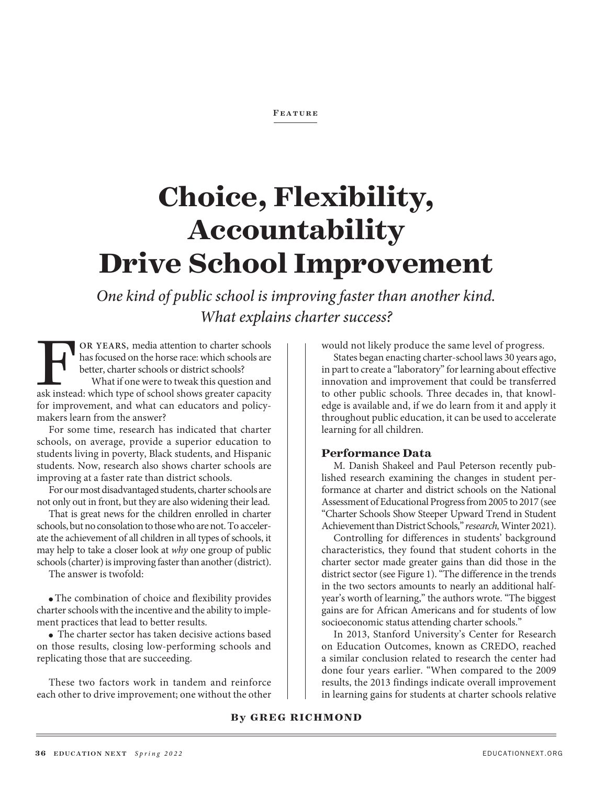#### **FEATURE**

# **Choice, Flexibility, Accountability Drive School Improvement**

*One kind of public school is improving faster than another kind. What explains charter success?*

FOR YEARS, media attention to charter schools<br>
has focused on the horse race: which schools are<br>
better, charter schools or district schools?<br>
What if one were to tweak this question and<br>
ask instead: which type of school has focused on the horse race: which schools are better, charter schools or district schools? What if one were to tweak this question and for improvement, and what can educators and policymakers learn from the answer?

For some time, research has indicated that charter schools, on average, provide a superior education to students living in poverty, Black students, and Hispanic students. Now, research also shows charter schools are improving at a faster rate than district schools.

For our most disadvantaged students, charter schools are not only out in front, but they are also widening their lead.

That is great news for the children enrolled in charter schools, but no consolation to those who are not. To accelerate the achievement of all children in all types of schools, it may help to take a closer look at *why* one group of public schools (charter) is improving faster than another (district).

The answer is twofold:

● The combination of choice and flexibility provides charter schools with the incentive and the ability to implement practices that lead to better results.

• The charter sector has taken decisive actions based on those results, closing low-performing schools and replicating those that are succeeding.

These two factors work in tandem and reinforce each other to drive improvement; one without the other would not likely produce the same level of progress.

States began enacting charter-school laws 30 years ago, in part to create a "laboratory" for learning about effective innovation and improvement that could be transferred to other public schools. Three decades in, that knowledge is available and, if we do learn from it and apply it throughout public education, it can be used to accelerate learning for all children.

#### **Performance Data**

M. Danish Shakeel and Paul Peterson recently published research examining the changes in student performance at charter and district schools on the National Assessment of Educational Progress from 2005 to 2017 (see "Charter Schools Show Steeper Upward Trend in Student Achievement than District Schools," *research,* Winter 2021).

Controlling for differences in students' background characteristics, they found that student cohorts in the charter sector made greater gains than did those in the district sector (see Figure 1). "The difference in the trends in the two sectors amounts to nearly an additional halfyear's worth of learning," the authors wrote. "The biggest gains are for African Americans and for students of low socioeconomic status attending charter schools."

In 2013, Stanford University's Center for Research on Education Outcomes, known as CREDO, reached a similar conclusion related to research the center had done four years earlier. "When compared to the 2009 results, the 2013 findings indicate overall improvement in learning gains for students at charter schools relative

## **By GREG RICHMOND**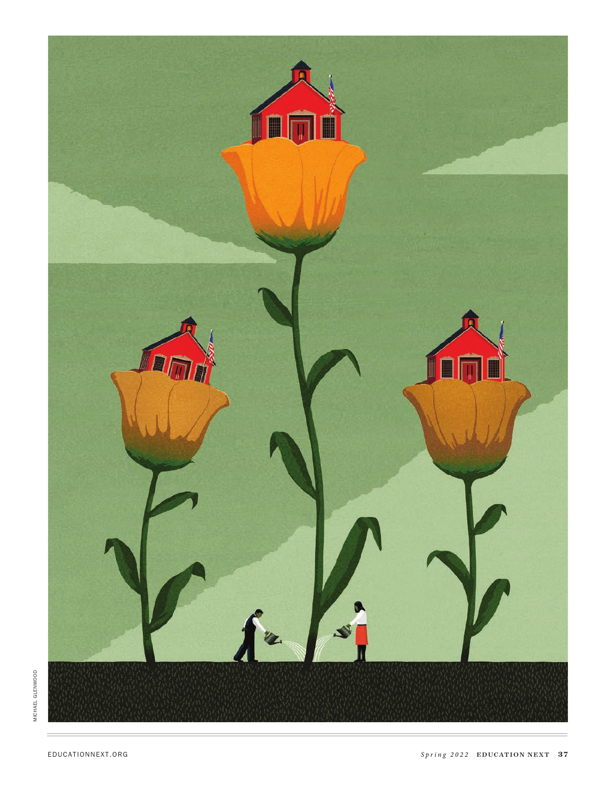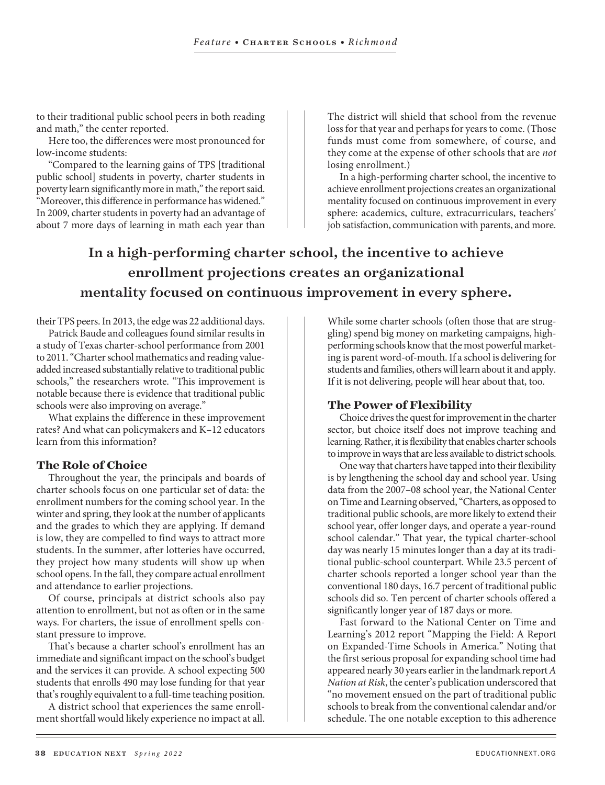to their traditional public school peers in both reading and math," the center reported.

Here too, the differences were most pronounced for low-income students:

"Compared to the learning gains of TPS [traditional public school] students in poverty, charter students in poverty learn significantly more in math," the report said. "Moreover, this difference in performance has widened." In 2009, charter students in poverty had an advantage of about 7 more days of learning in math each year than

The district will shield that school from the revenue loss for that year and perhaps for years to come. (Those funds must come from somewhere, of course, and they come at the expense of other schools that are *not* losing enrollment.)

In a high-performing charter school, the incentive to achieve enrollment projections creates an organizational mentality focused on continuous improvement in every sphere: academics, culture, extracurriculars, teachers' job satisfaction, communication with parents, and more.

# In a high-performing charter school, the incentive to achieve enrollment projections creates an organizational mentality focused on continuous improvement in every sphere.

their TPS peers. In 2013, the edge was 22 additional days.

Patrick Baude and colleagues found similar results in a study of Texas charter-school performance from 2001 to 2011. "Charter school mathematics and reading valueadded increased substantially relative to traditional public schools," the researchers wrote. "This improvement is notable because there is evidence that traditional public schools were also improving on average."

What explains the difference in these improvement rates? And what can policymakers and K–12 educators learn from this information?

# **The Role of Choice**

Throughout the year, the principals and boards of charter schools focus on one particular set of data: the enrollment numbers for the coming school year. In the winter and spring, they look at the number of applicants and the grades to which they are applying. If demand is low, they are compelled to find ways to attract more students. In the summer, after lotteries have occurred, they project how many students will show up when school opens. In the fall, they compare actual enrollment and attendance to earlier projections.

Of course, principals at district schools also pay attention to enrollment, but not as often or in the same ways. For charters, the issue of enrollment spells constant pressure to improve.

That's because a charter school's enrollment has an immediate and significant impact on the school's budget and the services it can provide. A school expecting 500 students that enrolls 490 may lose funding for that year that's roughly equivalent to a full-time teaching position.

A district school that experiences the same enrollment shortfall would likely experience no impact at all.

While some charter schools (often those that are struggling) spend big money on marketing campaigns, highperforming schools know that the most powerful marketing is parent word-of-mouth. If a school is delivering for students and families, others will learn about it and apply. If it is not delivering, people will hear about that, too.

## **The Power of Flexibility**

Choice drives the quest for improvement in the charter sector, but choice itself does not improve teaching and learning. Rather, it is flexibility that enables charter schools to improve in ways that are less available to district schools.

One way that charters have tapped into their flexibility is by lengthening the school day and school year. Using data from the 2007–08 school year, the National Center on Time and Learning observed, "Charters, as opposed to traditional public schools, are more likely to extend their school year, offer longer days, and operate a year-round school calendar." That year, the typical charter-school day was nearly 15 minutes longer than a day at its traditional public-school counterpart. While 23.5 percent of charter schools reported a longer school year than the conventional 180 days, 16.7 percent of traditional public schools did so. Ten percent of charter schools offered a significantly longer year of 187 days or more.

Fast forward to the National Center on Time and Learning's 2012 report "Mapping the Field: A Report on Expanded-Time Schools in America." Noting that the first serious proposal for expanding school time had appeared nearly 30 years earlier in the landmark report *A Nation at Risk*, the center's publication underscored that "no movement ensued on the part of traditional public schools to break from the conventional calendar and/or schedule. The one notable exception to this adherence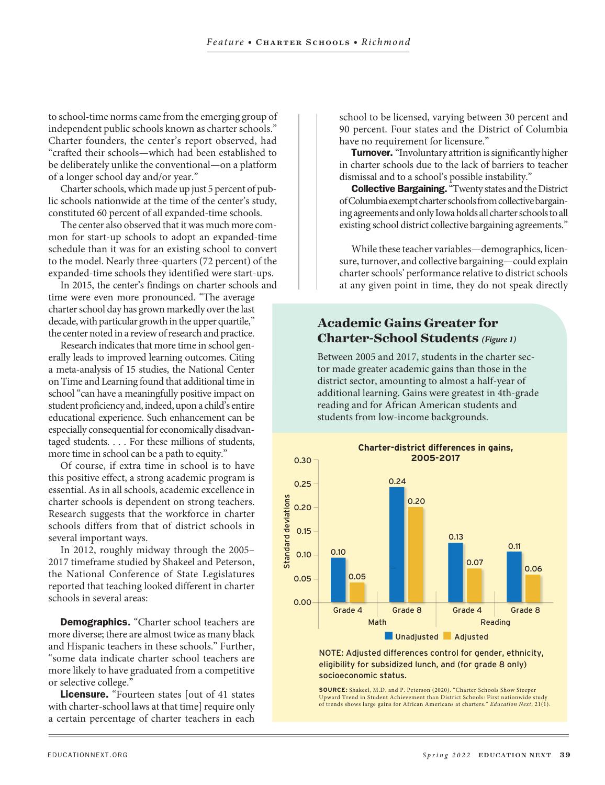to school-time norms came from the emerging group of independent public schools known as charter schools." Charter founders, the center's report observed, had "crafted their schools—which had been established to be deliberately unlike the conventional—on a platform of a longer school day and/or year."

Charter schools, which made up just 5 percent of public schools nationwide at the time of the center's study, constituted 60 percent of all expanded-time schools.

The center also observed that it was much more common for start-up schools to adopt an expanded-time schedule than it was for an existing school to convert to the model. Nearly three-quarters (72 percent) of the expanded-time schools they identified were start-ups.

In 2015, the center's findings on charter schools and time were even more pronounced. "The average charter school day has grown markedly over the last decade, with particular growth in the upper quartile," the center noted in a review of research and practice.

Research indicates that more time in school generally leads to improved learning outcomes. Citing a meta-analysis of 15 studies, the National Center on Time and Learning found that additional time in school "can have a meaningfully positive impact on student proficiency and, indeed, upon a child's entire educational experience. Such enhancement can be especially consequential for economically disadvantaged students. . . . For these millions of students, more time in school can be a path to equity."

Of course, if extra time in school is to have this positive effect, a strong academic program is essential. As in all schools, academic excellence in charter schools is dependent on strong teachers. Research suggests that the workforce in charter schools differs from that of district schools in several important ways.

In 2012, roughly midway through the 2005– 2017 timeframe studied by Shakeel and Peterson, the National Conference of State Legislatures reported that teaching looked different in charter schools in several areas:

Demographics. "Charter school teachers are more diverse; there are almost twice as many black and Hispanic teachers in these schools." Further, "some data indicate charter school teachers are more likely to have graduated from a competitive or selective college."

Licensure. "Fourteen states [out of 41 states] with charter-school laws at that time] require only a certain percentage of charter teachers in each school to be licensed, varying between 30 percent and 90 percent. Four states and the District of Columbia have no requirement for licensure."

**Turnover.** "Involuntary attrition is significantly higher in charter schools due to the lack of barriers to teacher dismissal and to a school's possible instability."

**Collective Bargaining.** "Twenty states and the District of Columbia exempt charter schools from collective bargaining agreements and only Iowa holds all charter schools to all existing school district collective bargaining agreements."

While these teacher variables—demographics, licensure, turnover, and collective bargaining—could explain charter schools' performance relative to district schools at any given point in time, they do not speak directly

# **Academic Gains Greater for Charter-School Students** *(Figure 1)*

Between 2005 and 2017, students in the charter sector made greater academic gains than those in the district sector, amounting to almost a half-year of additional learning. Gains were greatest in 4th-grade reading and for African American students and students from low-income backgrounds.



NOTE: Adjusted differences control for gender, ethnicity, eligibility for subsidized lunch, and (for grade 8 only) socioeconomic status.

**SOURCE:** Shakeel, M.D. and P. Peterson (2020). "Charter Schools Show Steeper Upward Trend in Student Achievement than District Schools: First nationwide study of trends shows large gains for African Americans at charters." *Education Next*, 21(1).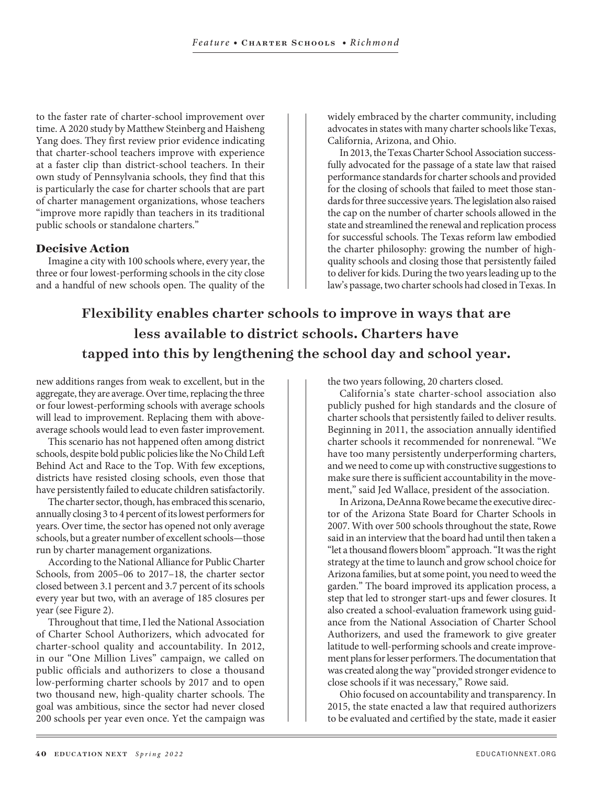to the faster rate of charter-school improvement over time. A 2020 study by Matthew Steinberg and Haisheng Yang does. They first review prior evidence indicating that charter-school teachers improve with experience at a faster clip than district-school teachers. In their own study of Pennsylvania schools, they find that this is particularly the case for charter schools that are part of charter management organizations, whose teachers "improve more rapidly than teachers in its traditional public schools or standalone charters."

### **Decisive Action**

Imagine a city with 100 schools where, every year, the three or four lowest-performing schools in the city close and a handful of new schools open. The quality of the widely embraced by the charter community, including advocates in states with many charter schools like Texas, California, Arizona, and Ohio.

In 2013, the Texas Charter School Association successfully advocated for the passage of a state law that raised performance standards for charter schools and provided for the closing of schools that failed to meet those standards for three successive years. The legislation also raised the cap on the number of charter schools allowed in the state and streamlined the renewal and replication process for successful schools. The Texas reform law embodied the charter philosophy: growing the number of highquality schools and closing those that persistently failed to deliver for kids. During the two years leading up to the law's passage, two charter schools had closed in Texas. In

# Flexibility enables charter schools to improve in ways that are less available to district schools. Charters have tapped into this by lengthening the school day and school year.

new additions ranges from weak to excellent, but in the aggregate, they are average. Over time, replacing the three or four lowest-performing schools with average schools will lead to improvement. Replacing them with aboveaverage schools would lead to even faster improvement.

This scenario has not happened often among district schools, despite bold public policies like the No Child Left Behind Act and Race to the Top. With few exceptions, districts have resisted closing schools, even those that have persistently failed to educate children satisfactorily.

The charter sector, though, has embraced this scenario, annually closing 3 to 4 percent of its lowest performers for years. Over time, the sector has opened not only average schools, but a greater number of excellent schools—those run by charter management organizations.

According to the National Alliance for Public Charter Schools, from 2005–06 to 2017–18, the charter sector closed between 3.1 percent and 3.7 percent of its schools every year but two, with an average of 185 closures per year (see Figure 2).

Throughout that time, I led the National Association of Charter School Authorizers, which advocated for charter-school quality and accountability. In 2012, in our "One Million Lives" campaign, we called on public officials and authorizers to close a thousand low-performing charter schools by 2017 and to open two thousand new, high-quality charter schools. The goal was ambitious, since the sector had never closed 200 schools per year even once. Yet the campaign was the two years following, 20 charters closed.

California's state charter-school association also publicly pushed for high standards and the closure of charter schools that persistently failed to deliver results. Beginning in 2011, the association annually identified charter schools it recommended for nonrenewal. "We have too many persistently underperforming charters, and we need to come up with constructive suggestions to make sure there is sufficient accountability in the movement," said Jed Wallace, president of the association.

In Arizona, DeAnna Rowe became the executive director of the Arizona State Board for Charter Schools in 2007. With over 500 schools throughout the state, Rowe said in an interview that the board had until then taken a "let a thousand flowers bloom" approach. "It was the right strategy at the time to launch and grow school choice for Arizona families, but at some point, you need to weed the garden." The board improved its application process, a step that led to stronger start-ups and fewer closures. It also created a school-evaluation framework using guidance from the National Association of Charter School Authorizers, and used the framework to give greater latitude to well-performing schools and create improvement plans for lesser performers. The documentation that was created along the way "provided stronger evidence to close schools if it was necessary," Rowe said.

Ohio focused on accountability and transparency. In 2015, the state enacted a law that required authorizers to be evaluated and certified by the state, made it easier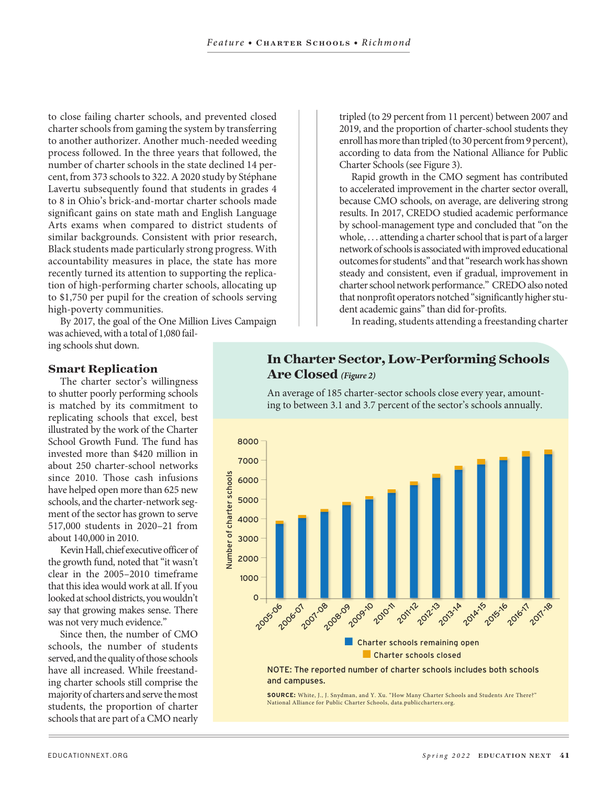to close failing charter schools, and prevented closed charter schools from gaming the system by transferring to another authorizer. Another much-needed weeding process followed. In the three years that followed, the number of charter schools in the state declined 14 percent, from 373 schools to 322. A 2020 study by Stéphane Lavertu subsequently found that students in grades 4 to 8 in Ohio's brick-and-mortar charter schools made significant gains on state math and English Language Arts exams when compared to district students of similar backgrounds. Consistent with prior research, Black students made particularly strong progress. With accountability measures in place, the state has more recently turned its attention to supporting the replication of high-performing charter schools, allocating up to \$1,750 per pupil for the creation of schools serving high-poverty communities.

By 2017, the goal of the One Million Lives Campaign was achieved, with a total of 1,080 failing schools shut down.

#### **Smart Replication**

The charter sector's willingness to shutter poorly performing schools is matched by its commitment to replicating schools that excel, best illustrated by the work of the Charter School Growth Fund. The fund has invested more than \$420 million in about 250 charter-school networks since 2010. Those cash infusions have helped open more than 625 new schools, and the charter-network segment of the sector has grown to serve 517,000 students in 2020–21 from about 140,000 in 2010.

Kevin Hall, chief executive officer of the growth fund, noted that "it wasn't clear in the 2005–2010 timeframe that this idea would work at all. If you looked at school districts, you wouldn't say that growing makes sense. There was not very much evidence."

Since then, the number of CMO schools, the number of students served, and the quality of those schools have all increased. While freestanding charter schools still comprise the majority of charters and serve the most students, the proportion of charter schools that are part of a CMO nearly tripled (to 29 percent from 11 percent) between 2007 and 2019, and the proportion of charter-school students they enroll has more than tripled (to 30 percent from 9 percent), according to data from the National Alliance for Public Charter Schools (see Figure 3).

Rapid growth in the CMO segment has contributed to accelerated improvement in the charter sector overall, because CMO schools, on average, are delivering strong results. In 2017, CREDO studied academic performance by school-management type and concluded that "on the whole, . . . attending a charter school that is part of a larger network of schools is associated with improved educational outcomes for students" and that "research work has shown steady and consistent, even if gradual, improvement in charter school network performance." CREDO also noted that nonprofit operators notched "significantly higher student academic gains" than did for-profits.

In reading, students attending a freestanding charter

# **In Charter Sector, Low-Performing Schools Are Closed** *(Figure 2)*

An average of 185 charter-sector schools close every year, amounting to between 3.1 and 3.7 percent of the sector's schools annually.

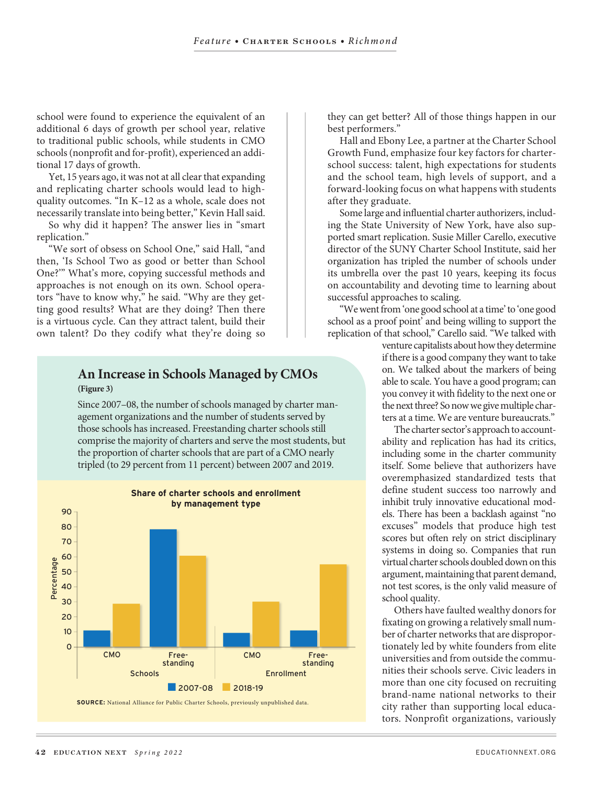school were found to experience the equivalent of an additional 6 days of growth per school year, relative to traditional public schools, while students in CMO schools (nonprofit and for-profit), experienced an additional 17 days of growth.

Yet, 15 years ago, it was not at all clear that expanding and replicating charter schools would lead to highquality outcomes. "In K–12 as a whole, scale does not necessarily translate into being better," Kevin Hall said.

So why did it happen? The answer lies in "smart replication."

"We sort of obsess on School One," said Hall, "and then, 'Is School Two as good or better than School One?'" What's more, copying successful methods and approaches is not enough on its own. School operators "have to know why," he said. "Why are they getting good results? What are they doing? Then there is a virtuous cycle. Can they attract talent, build their own talent? Do they codify what they're doing so

## **An Increase in Schools Managed by CMOs (Figure 3)**

Since 2007–08, the number of schools managed by charter management organizations and the number of students served by those schools has increased. Freestanding charter schools still comprise the majority of charters and serve the most students, but the proportion of charter schools that are part of a CMO nearly tripled (to 29 percent from 11 percent) between 2007 and 2019.



they can get better? All of those things happen in our best performers."

Hall and Ebony Lee, a partner at the Charter School Growth Fund, emphasize four key factors for charterschool success: talent, high expectations for students and the school team, high levels of support, and a forward-looking focus on what happens with students after they graduate.

Some large and influential charter authorizers, including the State University of New York, have also supported smart replication. Susie Miller Carello, executive director of the SUNY Charter School Institute, said her organization has tripled the number of schools under its umbrella over the past 10 years, keeping its focus on accountability and devoting time to learning about successful approaches to scaling.

"We went from 'one good school at a time' to 'one good school as a proof point' and being willing to support the replication of that school," Carello said. "We talked with

> venture capitalists about how they determine if there is a good company they want to take on. We talked about the markers of being able to scale. You have a good program; can you convey it with fidelity to the next one or the next three? So now we give multiple charters at a time. We are venture bureaucrats."

> The charter sector's approach to accountability and replication has had its critics, including some in the charter community itself. Some believe that authorizers have overemphasized standardized tests that define student success too narrowly and inhibit truly innovative educational models. There has been a backlash against "no excuses" models that produce high test scores but often rely on strict disciplinary systems in doing so. Companies that run virtual charter schools doubled down on this argument, maintaining that parent demand, not test scores, is the only valid measure of school quality.

> Others have faulted wealthy donors for fixating on growing a relatively small number of charter networks that are disproportionately led by white founders from elite universities and from outside the communities their schools serve. Civic leaders in more than one city focused on recruiting brand-name national networks to their city rather than supporting local educators. Nonprofit organizations, variously